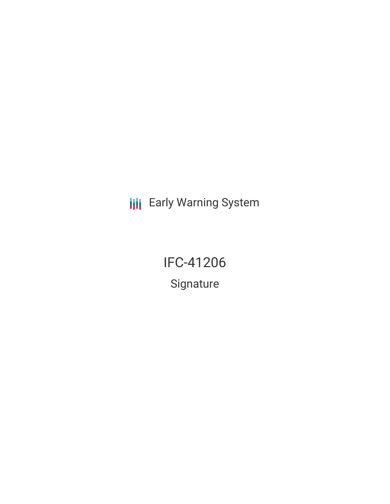**III** Early Warning System

IFC-41206 Signature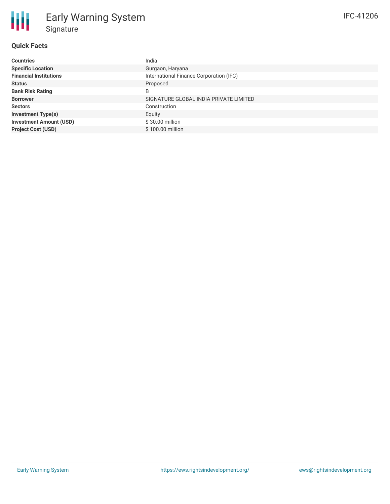### **Quick Facts**

₩

| <b>Countries</b>               | India                                   |
|--------------------------------|-----------------------------------------|
| <b>Specific Location</b>       | Gurgaon, Haryana                        |
| <b>Financial Institutions</b>  | International Finance Corporation (IFC) |
| <b>Status</b>                  | Proposed                                |
| <b>Bank Risk Rating</b>        | B                                       |
| <b>Borrower</b>                | SIGNATURE GLOBAL INDIA PRIVATE LIMITED  |
| <b>Sectors</b>                 | Construction                            |
| <b>Investment Type(s)</b>      | Equity                                  |
| <b>Investment Amount (USD)</b> | \$30.00 million                         |
| <b>Project Cost (USD)</b>      | \$100.00 million                        |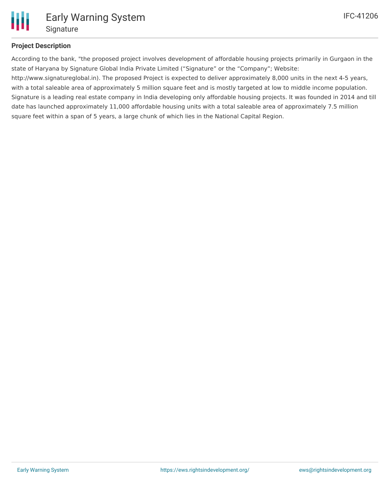

## **Project Description**

According to the bank, "the proposed project involves development of affordable housing projects primarily in Gurgaon in the state of Haryana by Signature Global India Private Limited ("Signature" or the "Company"; Website:

http://www.signatureglobal.in). The proposed Project is expected to deliver approximately 8,000 units in the next 4-5 years, with a total saleable area of approximately 5 million square feet and is mostly targeted at low to middle income population. Signature is a leading real estate company in India developing only affordable housing projects. It was founded in 2014 and till date has launched approximately 11,000 affordable housing units with a total saleable area of approximately 7.5 million square feet within a span of 5 years, a large chunk of which lies in the National Capital Region.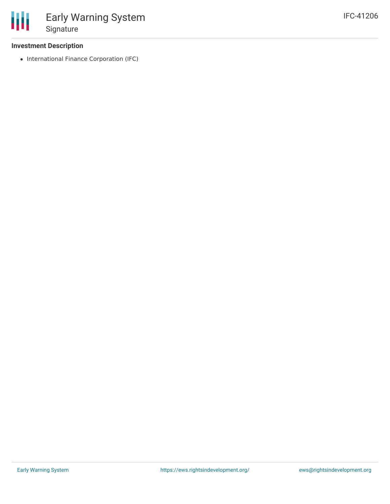### **Investment Description**

• International Finance Corporation (IFC)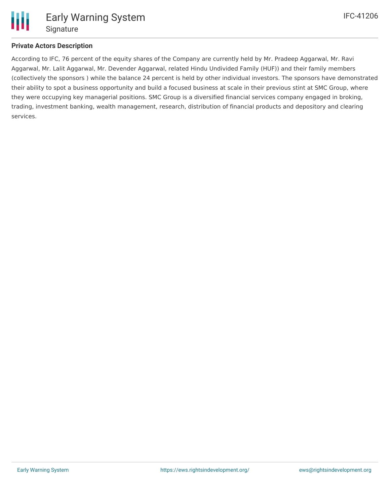

## **Private Actors Description**

According to IFC, 76 percent of the equity shares of the Company are currently held by Mr. Pradeep Aggarwal, Mr. Ravi Aggarwal, Mr. Lalit Aggarwal, Mr. Devender Aggarwal, related Hindu Undivided Family (HUF)) and their family members (collectively the sponsors ) while the balance 24 percent is held by other individual investors. The sponsors have demonstrated their ability to spot a business opportunity and build a focused business at scale in their previous stint at SMC Group, where they were occupying key managerial positions. SMC Group is a diversified financial services company engaged in broking, trading, investment banking, wealth management, research, distribution of financial products and depository and clearing services.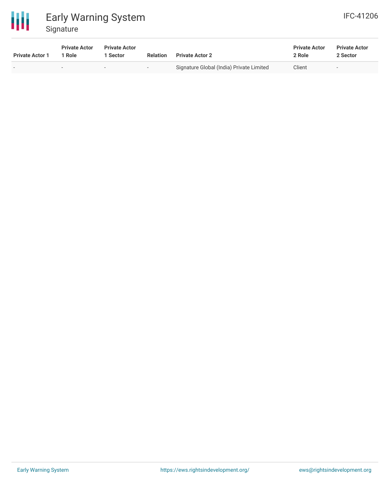

# Early Warning System Signature

| <b>IFC-41206</b> |  |
|------------------|--|
|                  |  |

| <b>Private Actor 1</b> | <b>Private Actor</b><br><sup>1</sup> Role | <b>Private Actor</b><br>Sector | <b>Relation</b> | <b>Private Actor 2</b>                   | <b>Private Actor</b><br>2 Role | <b>Private Actor</b><br>2 Sector |
|------------------------|-------------------------------------------|--------------------------------|-----------------|------------------------------------------|--------------------------------|----------------------------------|
|                        | $\sim$                                    |                                | $ -$            | Signature Global (India) Private Limited | Client                         |                                  |